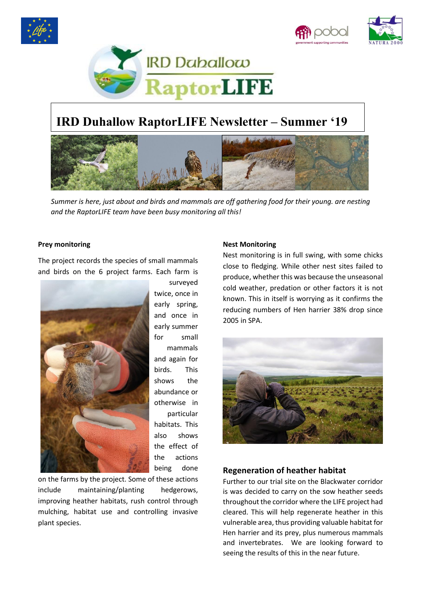





# **IRD Duhallow RaptorLIFE Newsletter – Summer '19**



*Summer is here, just about and birds and mammals are off gathering food for their young. are nesting and the RaptorLIFE team have been busy monitoring all this!*

#### **Prey monitoring**

The project records the species of small mammals and birds on the 6 project farms. Each farm is



twice, once in early spring, and once in early summer for small mammals and again for birds. This shows the abundance or otherwise in particular habitats. This also shows the effect of the actions being done

surveyed

on the farms by the project. Some of these actions include maintaining/planting hedgerows, improving heather habitats, rush control through mulching, habitat use and controlling invasive plant species.

#### **Nest Monitoring**

Nest monitoring is in full swing, with some chicks close to fledging. While other nest sites failed to produce, whether this was because the unseasonal cold weather, predation or other factors it is not known. This in itself is worrying as it confirms the reducing numbers of Hen harrier 38% drop since 2005 in SPA.



# **Regeneration of heather habitat**

Further to our trial site on the Blackwater corridor is was decided to carry on the sow heather seeds throughout the corridor where the LIFE project had cleared. This will help regenerate heather in this vulnerable area, thus providing valuable habitat for Hen harrier and its prey, plus numerous mammals and invertebrates. We are looking forward to seeing the results of this in the near future.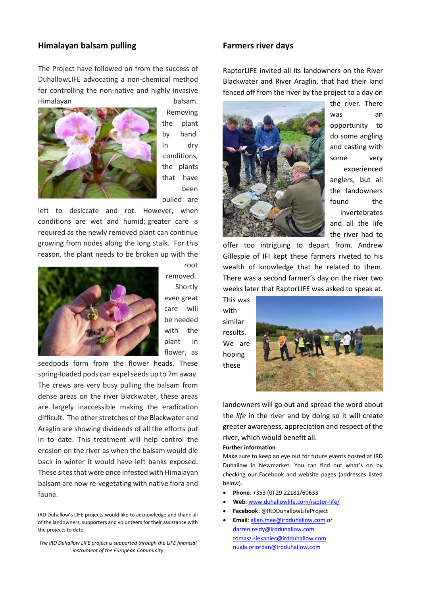# **Himalayan balsam pulling**

The Project have followed on from the success of DuhallowLIFE advocating a non-chemical method for controlling the non-native and highly invasive Himalayan balsam.



Removing the plant by hand In dry conditions, the plants that have been pulled are

left to desiccate and rot. However, when conditions are wet and humid; greater care is required as the newly removed plant can continue growing from nodes along the long stalk. For this reason, the plant needs to be broken up with the



root removed. Shortly even great care will be needed with the plant in flower, as

seedpods form from the flower heads. These spring-loaded pods can expel seeds up to 7m away. The crews are very busy pulling the balsam from dense areas on the river Blackwater, these areas are largely inaccessible making the eradication difficult. The other stretches of the Blackwater and Araglin are showing dividends of all the efforts put in to date. This treatment will help control the erosion on the river as when the balsam would die back in winter it would have left banks exposed. These sites that were once infested with Himalayan balsam are now re-vegetating with native flora and fauna.

IRD Duhallow's LIFE projects would like to acknowledge and thank all of the landowners, supporters and volunteers for their assistance with the projects to date.

*The IRD Duhallow LIFE project is supported through the LIFE financial instrument of the European Community*

### **Farmers river days**

RaptorLIFE invited all its landowners on the River Blackwater and River Araglin, that had their land fenced off from the river by the project to a day on



the river. There was an opportunity to do some angling and casting with some very experienced anglers, but all the landowners found the invertebrates and all the life the river had to

offer too intriguing to depart from. Andrew Gillespie of IFI kept these farmers riveted to his wealth of knowledge that he related to them. There was a second farmer's day on the river two weeks later that RaptorLIFE was asked to speak at.

This was with similar results. We are hoping these



landowners will go out and spread the word about the *life* in the river and by doing so it will create greater awareness, appreciation and respect of the river, which would benefit all.

#### **Further information**

Make sure to keep an eye out for future events hosted at IRD Duhallow in Newmarket. You can find out what's on by checking our Facebook and website pages (addresses listed below).

- **Phone**: +353 (0) 29 22181/60633
- **Web**[: www.duhallowlife.com/raptor-life/](http://www.duhallowlife.com/raptor-life/)
- **Facebook**: @IRDDuhallowLifeProject
- **Email**: [allan.mee@irdduhallow.com](mailto:allan.mee@irdduhallow.com) or [darren.reidy@irdduhallow.com](mailto:darren.reidy@irdduhallow.com) [tomasz.siekaniec@irdduhallow.com](mailto:tomasz.siekaniec@irdduhallow.com) [nuala.oriordan@irdduhallow.com](mailto:nuala.oriordan@irdduhallow.com)